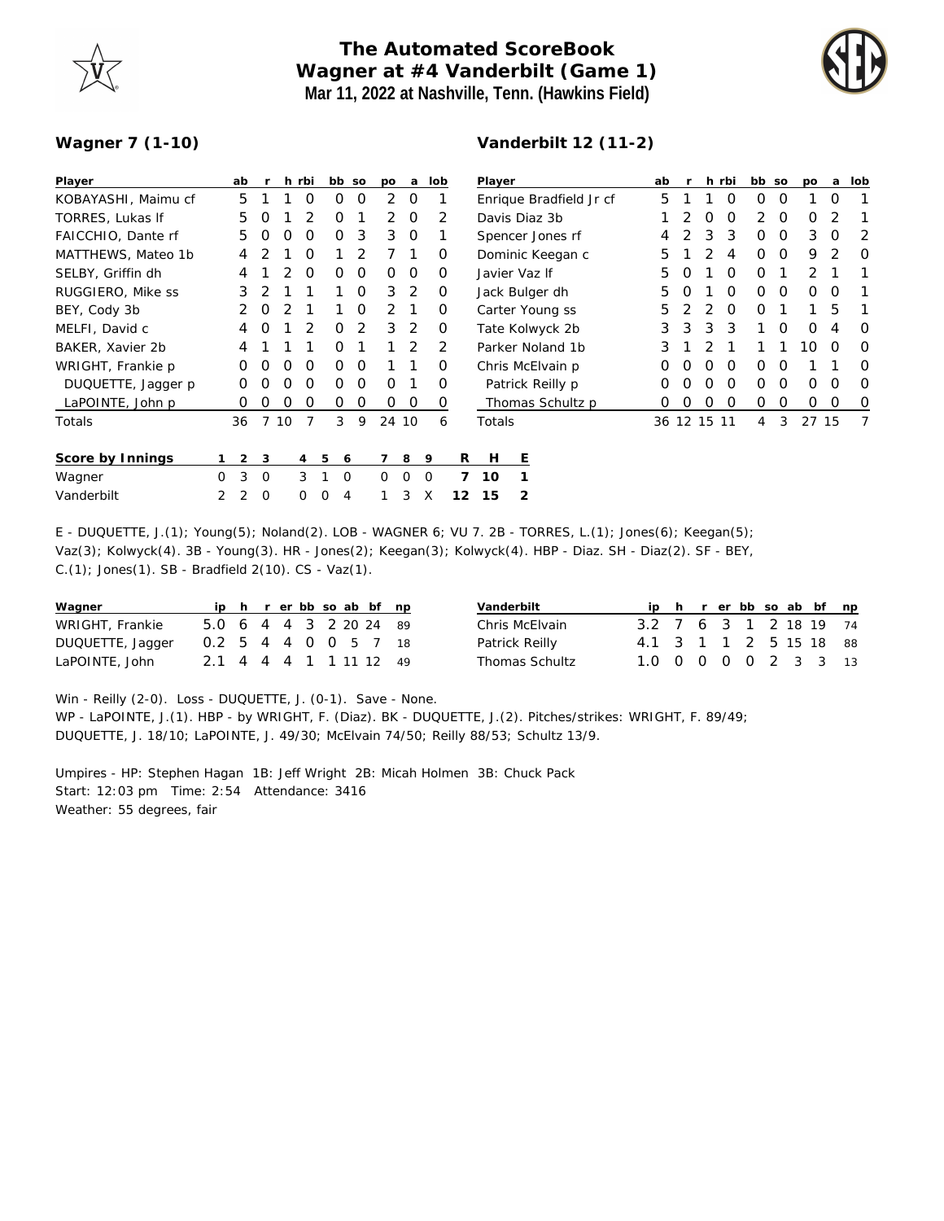

## **The Automated ScoreBook Wagner at #4 Vanderbilt (Game 1) Mar 11, 2022 at Nashville, Tenn. (Hawkins Field)**



## **Wagner 7 (1-10)**

| Player              |   | ab |          |    | h rbi    |          | bb so    | po       | a        |             | lob | Player                  |                |                  |  | ab |    |             | h rbi    | bb so    |          | po      | a        | lob |
|---------------------|---|----|----------|----|----------|----------|----------|----------|----------|-------------|-----|-------------------------|----------------|------------------|--|----|----|-------------|----------|----------|----------|---------|----------|-----|
| KOBAYASHI, Maimu cf |   | 5  |          |    | O        | O        | O        | 2        | $\Omega$ |             |     | Enrique Bradfield Jr cf |                |                  |  | 5  |    |             | O        | $\Omega$ | $\Omega$ |         | 0        |     |
| TORRES, Lukas If    |   | 5  | O        |    |          | O        |          | 2        | O        |             | 2   | Davis Diaz 3b           |                |                  |  |    |    | O           | O        | 2        | $\Omega$ | Ο       |          |     |
| FAICCHIO, Dante rf  |   | 5  | O        | 0  | O        | 0        | 3        | 3        | 0        |             |     | Spencer Jones rf        |                |                  |  |    |    | 3           | 3        | $\Omega$ | $\Omega$ | 3       | O        |     |
| MATTHEWS, Mateo 1b  |   | 4  |          |    | O        |          |          |          |          |             | O   | Dominic Keegan c        |                |                  |  | 5  |    |             | 4        | $\Omega$ | $\Omega$ | 9       |          |     |
| SELBY, Griffin dh   |   | 4  |          |    | O        | O        | O        | 0        | O        |             | O   | Javier Vaz If           |                |                  |  | 5  |    |             | O        | $\Omega$ |          | っ       |          |     |
| RUGGIERO, Mike ss   |   | 3  |          |    |          |          | O        | 3        | 2        |             | O   | Jack Bulger dh          |                |                  |  | 5  | Ω  |             | O        | $\Omega$ | $\Omega$ | Ο       | O        |     |
| BEY, Cody 3b        |   |    | $\Omega$ |    |          |          | $\Omega$ | 2        |          |             | O   | Carter Young ss         |                |                  |  | 5  |    | 2           | $\Omega$ | $\Omega$ |          |         | 5        |     |
| MELFI, David c      |   | 4  | O        |    |          | O        | 2        | 3        | 2        |             | O   | Tate Kolwyck 2b         |                |                  |  | 3  | 3  | 3           | 3        |          | $\Omega$ | Ο       |          |     |
| BAKER, Xavier 2b    |   | 4  |          |    |          | O        |          |          | 2        |             | 2   | Parker Noland 1b        |                |                  |  | 3  |    |             |          |          |          | 10      | O        |     |
| WRIGHT, Frankie p   |   | Ω  | Ω        | Ο  | O        | O        | O        |          |          |             | O   | Chris McElvain p        |                |                  |  | Ο  | O) | Ο           | O        | 0        | O        |         |          |     |
| DUQUETTE, Jagger p  |   | O  | Ω        | ი  | O        | O        | O        | 0        |          |             | O   |                         |                | Patrick Reilly p |  | Ο  | Ω  | Ο           | O        | 0        | $\Omega$ | Ο       | O        |     |
| LaPOINTE, John p    |   | O  | O        | O  | O        | 0        | 0        | 0        | 0        |             | 0   |                         |                | Thomas Schultz p |  | Ο  | O  | 0           | $\Omega$ | $\Omega$ | 0        | $\circ$ | $\Omega$ | O   |
| Totals              |   | 36 | 7        | 10 |          | 3        | 9        |          | 24 10    |             | 6   | Totals                  |                |                  |  |    |    | 36 12 15 11 |          | 4        | 3        | 27 15   |          |     |
| Score by Innings    |   | 2  | 3        |    | 4        | 5        | 6        | 7        | 8        | 9           |     | R<br>H                  | Ε              |                  |  |    |    |             |          |          |          |         |          |     |
| Wagner              | 0 | 3  | $\Omega$ |    | 3        |          | $\Omega$ | $\Omega$ | $\Omega$ | $\mathbf 0$ |     | 7<br>10                 |                |                  |  |    |    |             |          |          |          |         |          |     |
| Vanderbilt          | 2 | 2  | $\Omega$ |    | $\Omega$ | $\Omega$ | 4        |          | 3        | X           | 12  | 15                      | $\overline{2}$ |                  |  |    |    |             |          |          |          |         |          |     |

E - DUQUETTE, J.(1); Young(5); Noland(2). LOB - WAGNER 6; VU 7. 2B - TORRES, L.(1); Jones(6); Keegan(5); Vaz(3); Kolwyck(4). 3B - Young(3). HR - Jones(2); Keegan(3); Kolwyck(4). HBP - Diaz. SH - Diaz(2). SF - BEY, C.(1); Jones(1). SB - Bradfield 2(10). CS - Vaz(1).

| Wagner           |                          |  |  |  | ip h r er bb so ab bf np |  | Vanderbilt            |                        |  |  |  | ip h r er bb so ab bf np |  |
|------------------|--------------------------|--|--|--|--------------------------|--|-----------------------|------------------------|--|--|--|--------------------------|--|
| WRIGHT, Frankie  | 5.0 6 4 4 3 2 20 24 89   |  |  |  |                          |  | Chris McElvain        | 3.2 7 6 3 1 2 18 19 74 |  |  |  |                          |  |
| DUQUETTE, Jagger | 0.2 5 4 4 0 0 5 7 18     |  |  |  |                          |  | Patrick Reilly        | 4.1 3 1 1 2 5 15 18 88 |  |  |  |                          |  |
| LaPOINTE, John   | 2.1 4 4 4 1 1 1 1 1 2 49 |  |  |  |                          |  | <b>Thomas Schultz</b> | 1.0 0 0 0 0 2 3 3 13   |  |  |  |                          |  |

Win - Reilly (2-0). Loss - DUQUETTE, J. (0-1). Save - None. WP - LaPOINTE, J.(1). HBP - by WRIGHT, F. (Diaz). BK - DUQUETTE, J.(2). Pitches/strikes: WRIGHT, F. 89/49; DUQUETTE, J. 18/10; LaPOINTE, J. 49/30; McElvain 74/50; Reilly 88/53; Schultz 13/9.

Umpires - HP: Stephen Hagan 1B: Jeff Wright 2B: Micah Holmen 3B: Chuck Pack Start: 12:03 pm Time: 2:54 Attendance: 3416 Weather: 55 degrees, fair

## **Vanderbilt 12 (11-2)**